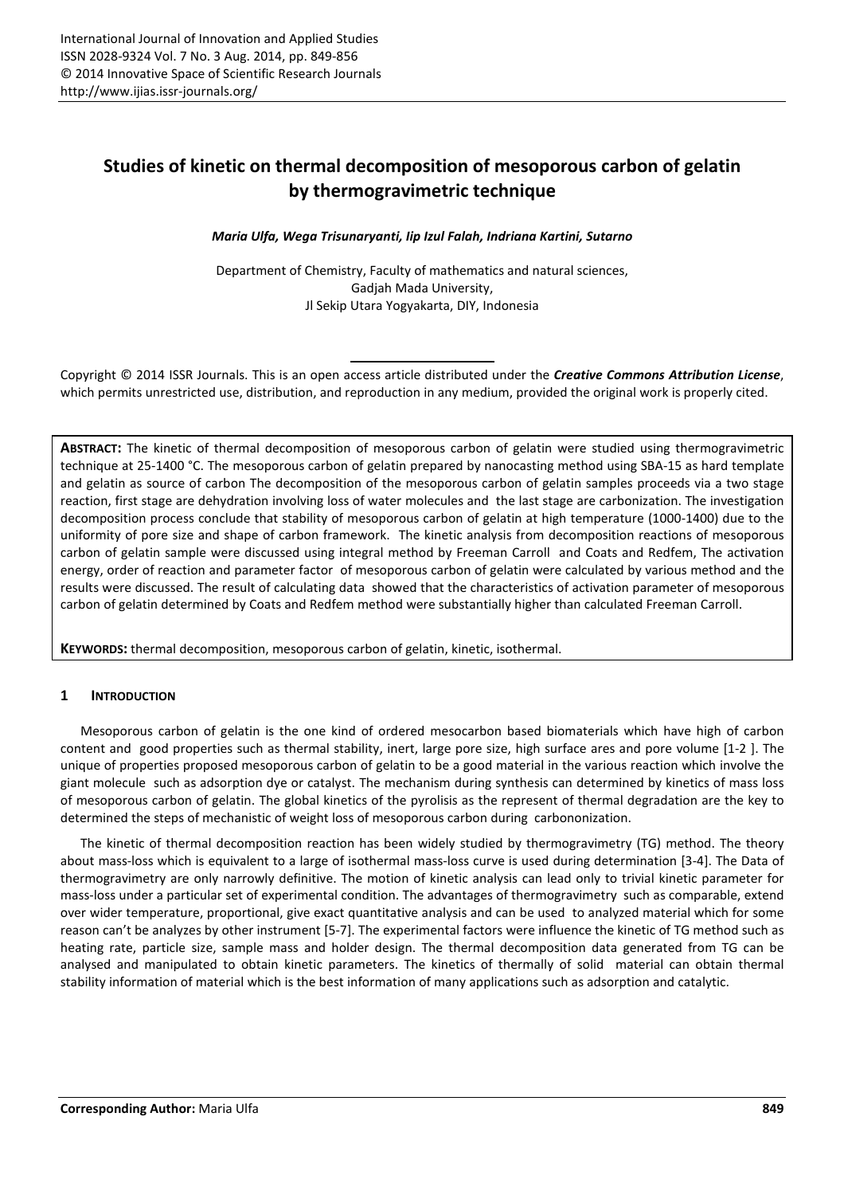# **Studies of kinetic on thermal decomposition of mesoporous carbon of gelatin by thermogravimetric technique**

*Maria Ulfa, Wega Trisunaryanti, Iip Izul Falah, Indriana Kartini, Sutarno* 

Department of Chemistry, Faculty of mathematics and natural sciences, Gadjah Mada University, Jl Sekip Utara Yogyakarta, DIY, Indonesia

Copyright © 2014 ISSR Journals. This is an open access article distributed under the *Creative Commons Attribution License*, which permits unrestricted use, distribution, and reproduction in any medium, provided the original work is properly cited.

**ABSTRACT:** The kinetic of thermal decomposition of mesoporous carbon of gelatin were studied using thermogravimetric technique at 25-1400 °C. The mesoporous carbon of gelatin prepared by nanocasting method using SBA-15 as hard template and gelatin as source of carbon The decomposition of the mesoporous carbon of gelatin samples proceeds via a two stage reaction, first stage are dehydration involving loss of water molecules and the last stage are carbonization. The investigation decomposition process conclude that stability of mesoporous carbon of gelatin at high temperature (1000-1400) due to the uniformity of pore size and shape of carbon framework. The kinetic analysis from decomposition reactions of mesoporous carbon of gelatin sample were discussed using integral method by Freeman Carroll and Coats and Redfem, The activation energy, order of reaction and parameter factor of mesoporous carbon of gelatin were calculated by various method and the results were discussed. The result of calculating data showed that the characteristics of activation parameter of mesoporous carbon of gelatin determined by Coats and Redfem method were substantially higher than calculated Freeman Carroll.

**KEYWORDS:** thermal decomposition, mesoporous carbon of gelatin, kinetic, isothermal.

## **1 INTRODUCTION**

Mesoporous carbon of gelatin is the one kind of ordered mesocarbon based biomaterials which have high of carbon content and good properties such as thermal stability, inert, large pore size, high surface ares and pore volume [1-2 ]. The unique of properties proposed mesoporous carbon of gelatin to be a good material in the various reaction which involve the giant molecule such as adsorption dye or catalyst. The mechanism during synthesis can determined by kinetics of mass loss of mesoporous carbon of gelatin. The global kinetics of the pyrolisis as the represent of thermal degradation are the key to determined the steps of mechanistic of weight loss of mesoporous carbon during carbononization.

The kinetic of thermal decomposition reaction has been widely studied by thermogravimetry (TG) method. The theory about mass-loss which is equivalent to a large of isothermal mass-loss curve is used during determination [3-4]. The Data of thermogravimetry are only narrowly definitive. The motion of kinetic analysis can lead only to trivial kinetic parameter for mass-loss under a particular set of experimental condition. The advantages of thermogravimetry such as comparable, extend over wider temperature, proportional, give exact quantitative analysis and can be used to analyzed material which for some reason can't be analyzes by other instrument [5-7]. The experimental factors were influence the kinetic of TG method such as heating rate, particle size, sample mass and holder design. The thermal decomposition data generated from TG can be analysed and manipulated to obtain kinetic parameters. The kinetics of thermally of solid material can obtain thermal stability information of material which is the best information of many applications such as adsorption and catalytic.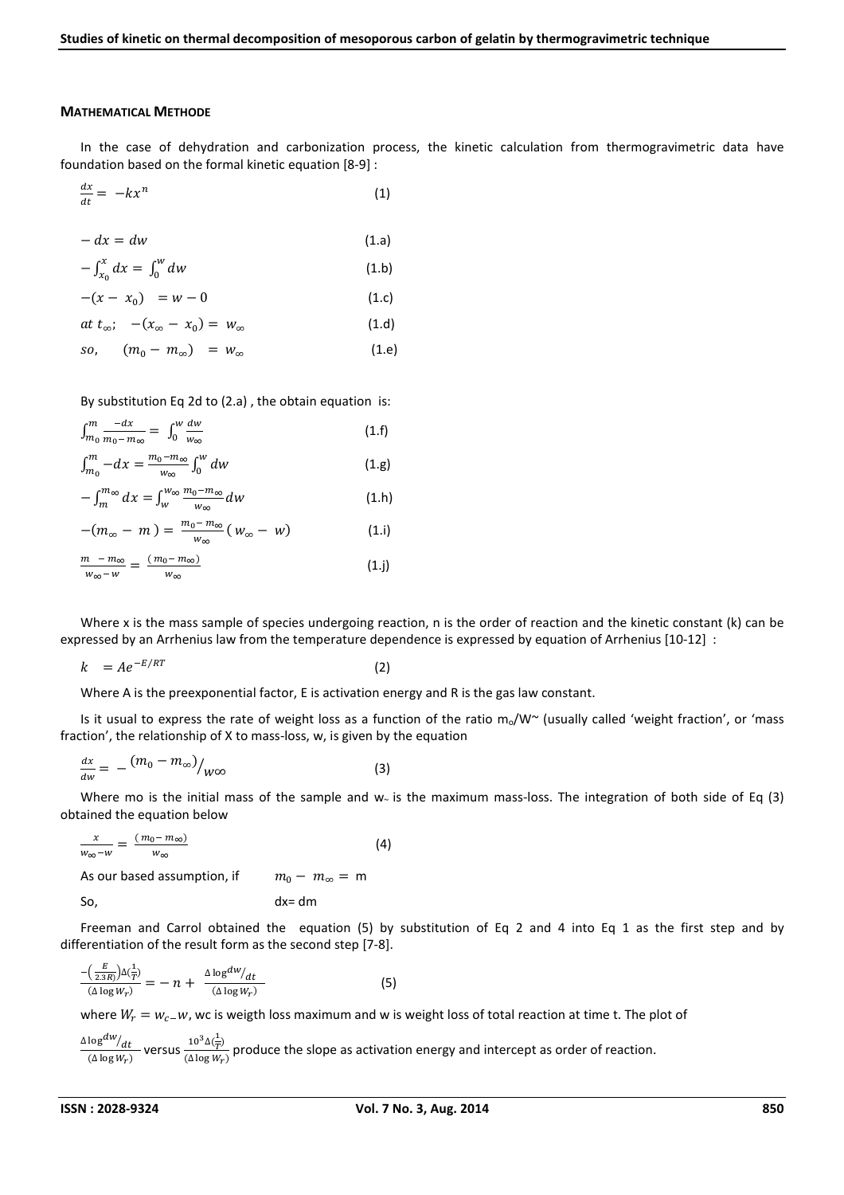#### **MATHEMATICAL METHODE**

In the case of dehydration and carbonization process, the kinetic calculation from thermogravimetric data have foundation based on the formal kinetic equation [8-9] :

$$
\frac{dx}{dt} = -kx^n \tag{1}
$$

$$
-dx = dw
$$
\n
$$
-\int_{x_0}^{x} dx = \int_{0}^{w} dw
$$
\n(1.b)

$$
x_0 \t 0 \t (1)
$$

$$
-(x-x_0) = w-0 \tag{1.c}
$$

$$
at t_{\infty}; \quad -(x_{\infty}-x_0)=w_{\infty} \qquad (1.6)
$$

$$
so, \qquad (m_0 - m_\infty) = w_\infty \qquad (1.8)
$$

By substitution Eq 2d to (2.a) , the obtain equation is:

$$
\int_{m_0}^{m} \frac{-dx}{m_0 - m_\infty} = \int_0^w \frac{dw}{w_\infty} \n\int_{m_0}^{m} -dx = \frac{m_0 - m_\infty}{w_\infty} \int_0^w dw
$$
\n(1.9)

$$
-\int_{m}^{m_{\infty}} dx = \int_{w}^{w_{\infty}} \frac{m_0 - m_{\infty}}{w_{\infty}} dw
$$
 (1.h)

$$
-(m_{\infty}-m)=\frac{m_0-m_{\infty}}{w_{\infty}}(w_{\infty}-w)
$$
 (1.i)

$$
\frac{m - m_{\infty}}{w_{\infty} - w} = \frac{(m_0 - m_{\infty})}{w_{\infty}} \tag{1.}
$$

Where x is the mass sample of species undergoing reaction, n is the order of reaction and the kinetic constant (k) can be expressed by an Arrhenius law from the temperature dependence is expressed by equation of Arrhenius [10-12] :

$$
k = A e^{-E/RT}
$$

(2)

Where A is the preexponential factor, E is activation energy and R is the gas law constant.

Is it usual to express the rate of weight loss as a function of the ratio  $m_0/W^{\sim}$  (usually called 'weight fraction', or 'mass fraction', the relationship of X to mass-loss, w, is given by the equation

$$
\frac{dx}{dw} = -\left(m_0 - m_\infty\right) /_{W\infty} \tag{3}
$$

Where mo is the initial mass of the sample and w~ is the maximum mass-loss. The integration of both side of Eq (3) obtained the equation below

$$
\frac{x}{w_{\infty}-w} = \frac{(m_0 - m_{\infty})}{w_{\infty}}
$$
\n
$$
\text{As our based assumption, if} \qquad m_0 - m_{\infty} = m
$$
\n
$$
\text{So,} \qquad \qquad dx = dm
$$
\n(4)

Freeman and Carrol obtained the equation (5) by substitution of Eq 2 and 4 into Eq 1 as the first step and by differentiation of the result form as the second step [7-8].

$$
\frac{-\left(\frac{E}{2.3R}\right)\Delta\left(\frac{1}{T}\right)}{(\Delta\log W_r)} = -n + \frac{\Delta\log^{dW}/dt}{(\Delta\log W_r)}
$$
(5)

where  $W_r = w_c$ , we is weigth loss maximum and w is weight loss of total reaction at time t. The plot of

$$
\frac{\Delta \log^{dW}/dt}{(\Delta \log W_r)}
$$
 versus  $\frac{10^3 \Delta(\frac{1}{T})}{(\Delta \log W_r)}$  produce the slope as activation energy and intercept as order of reaction.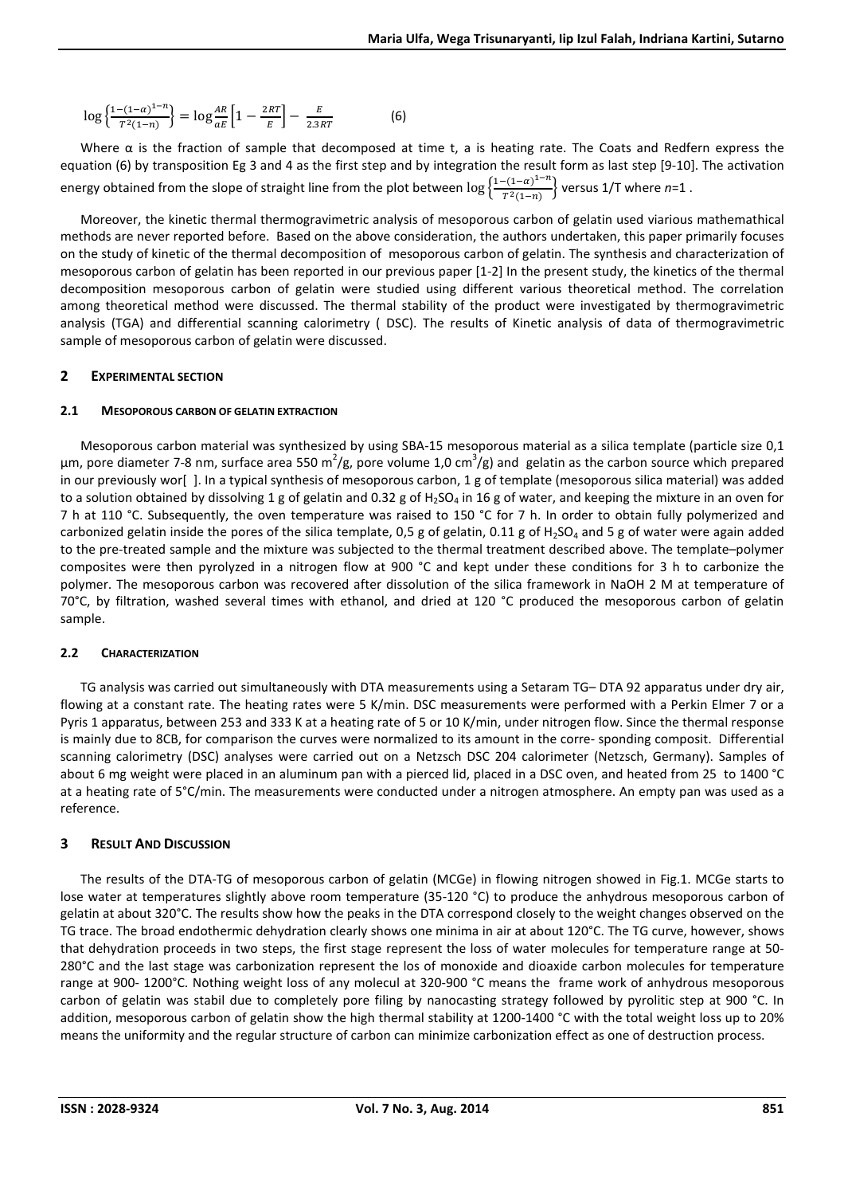$$
\log\left\{\frac{1-(1-\alpha)^{1-n}}{T^2(1-n)}\right\} = \log\frac{AR}{aE}\left[1-\frac{2RT}{E}\right] - \frac{E}{2.3RT}
$$
(6)

Where  $\alpha$  is the fraction of sample that decomposed at time t, a is heating rate. The Coats and Redfern express the equation (6) by transposition Eg 3 and 4 as the first step and by integration the result form as last step [9-10]. The activation energy obtained from the slope of straight line from the plot between  $\log\left\{\frac{1-(1-\alpha)^{1-n}}{T^2(1-n)}\right\}$  versus 1/T where  $n=1$  .

Moreover, the kinetic thermal thermogravimetric analysis of mesoporous carbon of gelatin used viarious mathemathical methods are never reported before. Based on the above consideration, the authors undertaken, this paper primarily focuses on the study of kinetic of the thermal decomposition of mesoporous carbon of gelatin. The synthesis and characterization of mesoporous carbon of gelatin has been reported in our previous paper [1-2] In the present study, the kinetics of the thermal decomposition mesoporous carbon of gelatin were studied using different various theoretical method. The correlation among theoretical method were discussed. The thermal stability of the product were investigated by thermogravimetric analysis (TGA) and differential scanning calorimetry ( DSC). The results of Kinetic analysis of data of thermogravimetric sample of mesoporous carbon of gelatin were discussed.

## **2 EXPERIMENTAL SECTION**

## **2.1 MESOPOROUS CARBON OF GELATIN EXTRACTION**

Mesoporous carbon material was synthesized by using SBA-15 mesoporous material as a silica template (particle size 0,1  $\mu$ m, pore diameter 7-8 nm, surface area 550 m<sup>2</sup>/g, pore volume 1,0 cm<sup>3</sup>/g) and gelatin as the carbon source which prepared in our previously wor[ ]. In a typical synthesis of mesoporous carbon, 1 g of template (mesoporous silica material) was added to a solution obtained by dissolving 1 g of gelatin and 0.32 g of  $H_2SO_4$  in 16 g of water, and keeping the mixture in an oven for 7 h at 110 °C. Subsequently, the oven temperature was raised to 150 °C for 7 h. In order to obtain fully polymerized and carbonized gelatin inside the pores of the silica template, 0,5 g of gelatin, 0.11 g of H<sub>2</sub>SO<sub>4</sub> and 5 g of water were again added to the pre-treated sample and the mixture was subjected to the thermal treatment described above. The template–polymer composites were then pyrolyzed in a nitrogen flow at 900 °C and kept under these conditions for 3 h to carbonize the polymer. The mesoporous carbon was recovered after dissolution of the silica framework in NaOH 2 M at temperature of 70°C, by filtration, washed several times with ethanol, and dried at 120 °C produced the mesoporous carbon of gelatin sample.

## **2.2 CHARACTERIZATION**

TG analysis was carried out simultaneously with DTA measurements using a Setaram TG– DTA 92 apparatus under dry air, flowing at a constant rate. The heating rates were 5 K/min. DSC measurements were performed with a Perkin Elmer 7 or a Pyris 1 apparatus, between 253 and 333 K at a heating rate of 5 or 10 K/min, under nitrogen flow. Since the thermal response is mainly due to 8CB, for comparison the curves were normalized to its amount in the corre- sponding composit. Differential scanning calorimetry (DSC) analyses were carried out on a Netzsch DSC 204 calorimeter (Netzsch, Germany). Samples of about 6 mg weight were placed in an aluminum pan with a pierced lid, placed in a DSC oven, and heated from 25 to 1400 °C at a heating rate of 5°C/min. The measurements were conducted under a nitrogen atmosphere. An empty pan was used as a reference.

## **3 RESULT AND DISCUSSION**

The results of the DTA-TG of mesoporous carbon of gelatin (MCGe) in flowing nitrogen showed in Fig.1. MCGe starts to lose water at temperatures slightly above room temperature (35-120 °C) to produce the anhydrous mesoporous carbon of gelatin at about 320°C. The results show how the peaks in the DTA correspond closely to the weight changes observed on the TG trace. The broad endothermic dehydration clearly shows one minima in air at about 120°C. The TG curve, however, shows that dehydration proceeds in two steps, the first stage represent the loss of water molecules for temperature range at 50- 280°C and the last stage was carbonization represent the los of monoxide and dioaxide carbon molecules for temperature range at 900- 1200°C. Nothing weight loss of any molecul at 320-900 °C means the frame work of anhydrous mesoporous carbon of gelatin was stabil due to completely pore filing by nanocasting strategy followed by pyrolitic step at 900 °C. In addition, mesoporous carbon of gelatin show the high thermal stability at 1200-1400 °C with the total weight loss up to 20% means the uniformity and the regular structure of carbon can minimize carbonization effect as one of destruction process.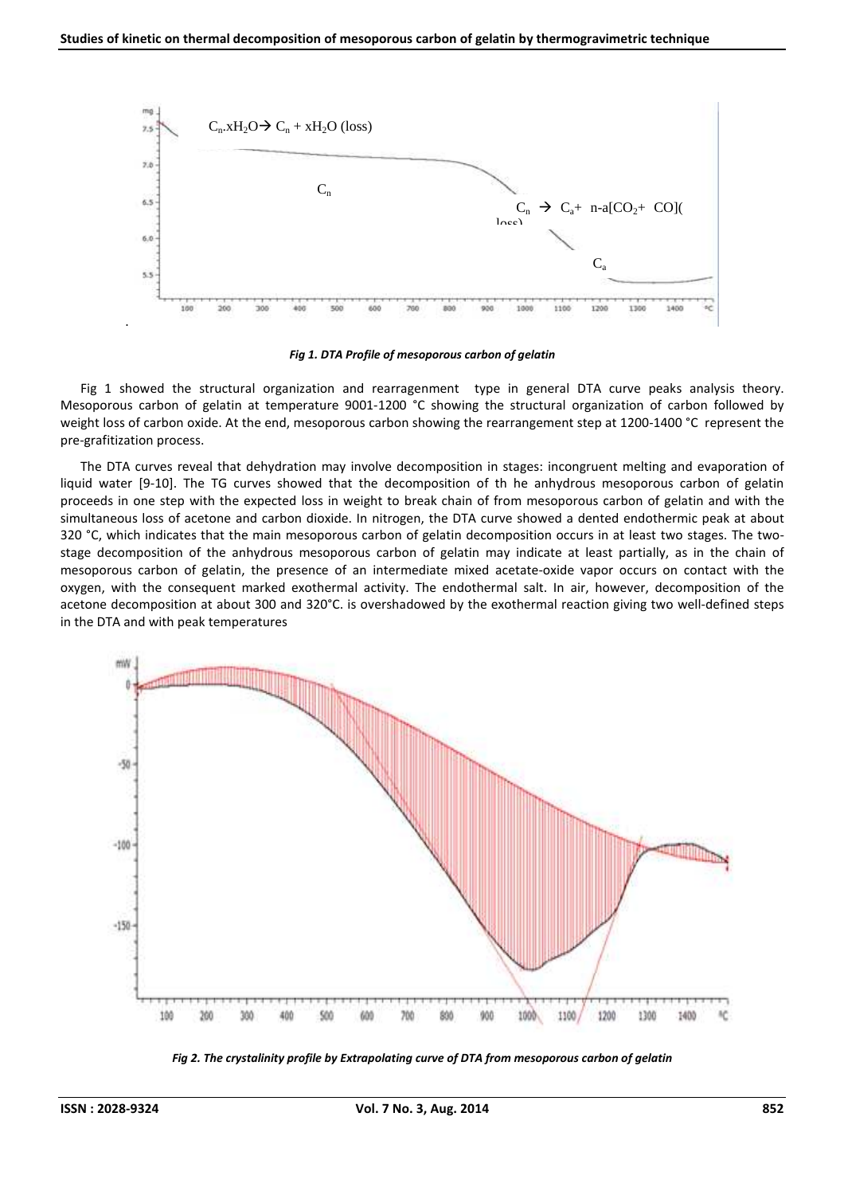

*Fig 1. DTA Profile of mesoporous carbon of gelatin* 

Fig 1 showed the structural organization and rearragenment type in general DTA curve peaks analysis theory. Mesoporous carbon of gelatin at temperature 9001-1200 °C showing the structural organization of carbon followed by weight loss of carbon oxide. At the end, mesoporous carbon showing the rearrangement step at 1200-1400 °C represent the pre-grafitization process.

The DTA curves reveal that dehydration may involve decomposition in stages: incongruent melting and evaporation of liquid water [9-10]. The TG curves showed that the decomposition of th he anhydrous mesoporous carbon of gelatin proceeds in one step with the expected loss in weight to break chain of from mesoporous carbon of gelatin and with the simultaneous loss of acetone and carbon dioxide. In nitrogen, the DTA curve showed a dented endothermic peak at about 320 °C, which indicates that the main mesoporous carbon of gelatin decomposition occurs in at least two stages. The twostage decomposition of the anhydrous mesoporous carbon of gelatin may indicate at least partially, as in the chain of mesoporous carbon of gelatin, the presence of an intermediate mixed acetate-oxide vapor occurs on contact with the oxygen, with the consequent marked exothermal activity. The endothermal salt. In air, however, decomposition of the acetone decomposition at about 300 and 320°C. is overshadowed by the exothermal reaction giving two well-defined steps in the DTA and with peak temperatures



*Fig 2. The crystalinity profile by Extrapolating curve of DTA from mesoporous carbon of gelatin*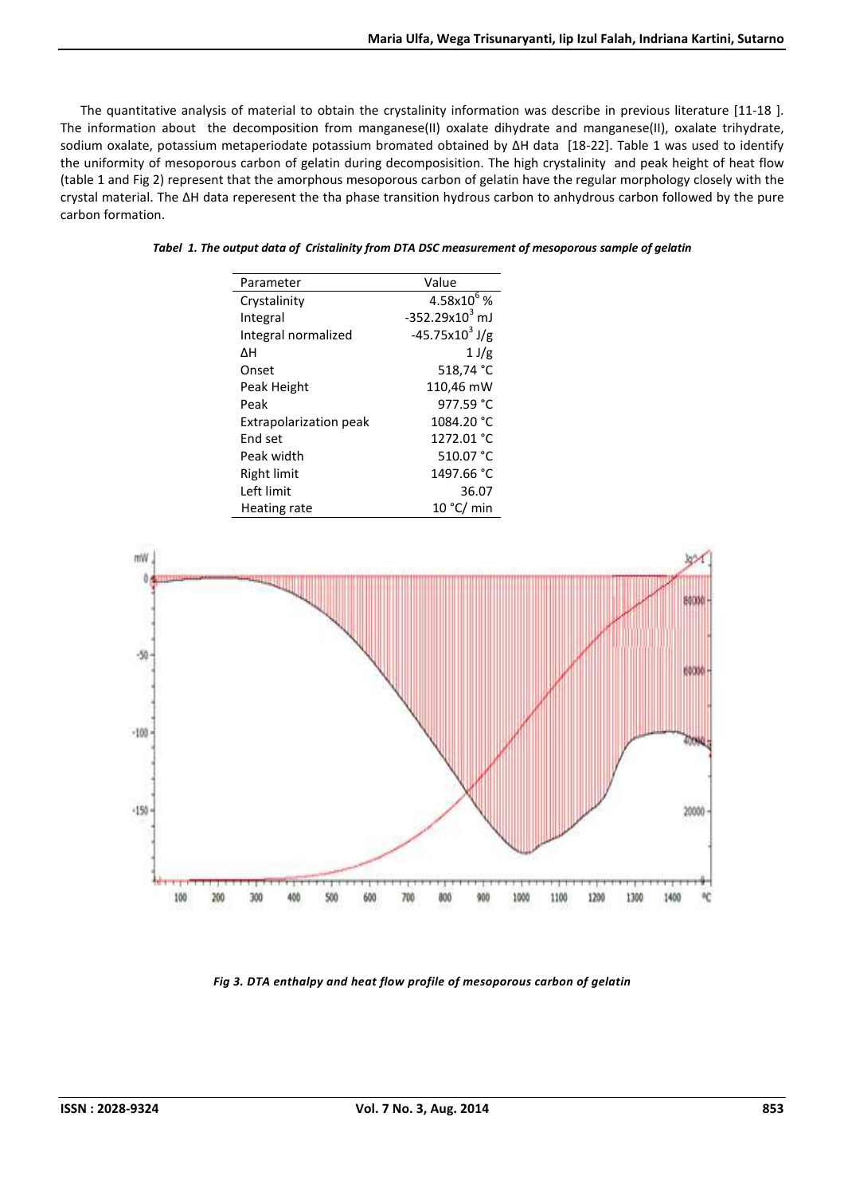The quantitative analysis of material to obtain the crystalinity information was describe in previous literature [11-18 ]. The information about the decomposition from manganese(II) oxalate dihydrate and manganese(II), oxalate trihydrate, sodium oxalate, potassium metaperiodate potassium bromated obtained by ∆H data [18-22]. Table 1 was used to identify the uniformity of mesoporous carbon of gelatin during decomposisition. The high crystalinity and peak height of heat flow (table 1 and Fig 2) represent that the amorphous mesoporous carbon of gelatin have the regular morphology closely with the crystal material. The ∆H data reperesent the tha phase transition hydrous carbon to anhydrous carbon followed by the pure carbon formation.

| Parameter                     | Value               |  |  |
|-------------------------------|---------------------|--|--|
| Crystalinity                  | $4.58x10^{6}$ %     |  |  |
| Integral                      | $-352.29x10^{3}$ mJ |  |  |
| Integral normalized           | $-45.75x103 J/g$    |  |  |
| ΔН                            | 1 J/g               |  |  |
| Onset                         | 518,74 °C           |  |  |
| Peak Height                   | 110,46 mW           |  |  |
| Peak                          | 977.59 °C           |  |  |
| <b>Extrapolarization peak</b> | 1084.20 °C          |  |  |
| <b>End set</b>                | 1272.01 °C          |  |  |
| Peak width                    | 510.07 °C           |  |  |
| Right limit                   | 1497.66 °C          |  |  |
| Left limit                    | 36.07               |  |  |
| Heating rate                  | 10 °C/min           |  |  |

#### *Tabel 1. The output data of Cristalinity from DTA DSC measurement of mesoporous sample of gelatin*



*Fig 3. DTA enthalpy and heat flow profile of mesoporous carbon of gelatin*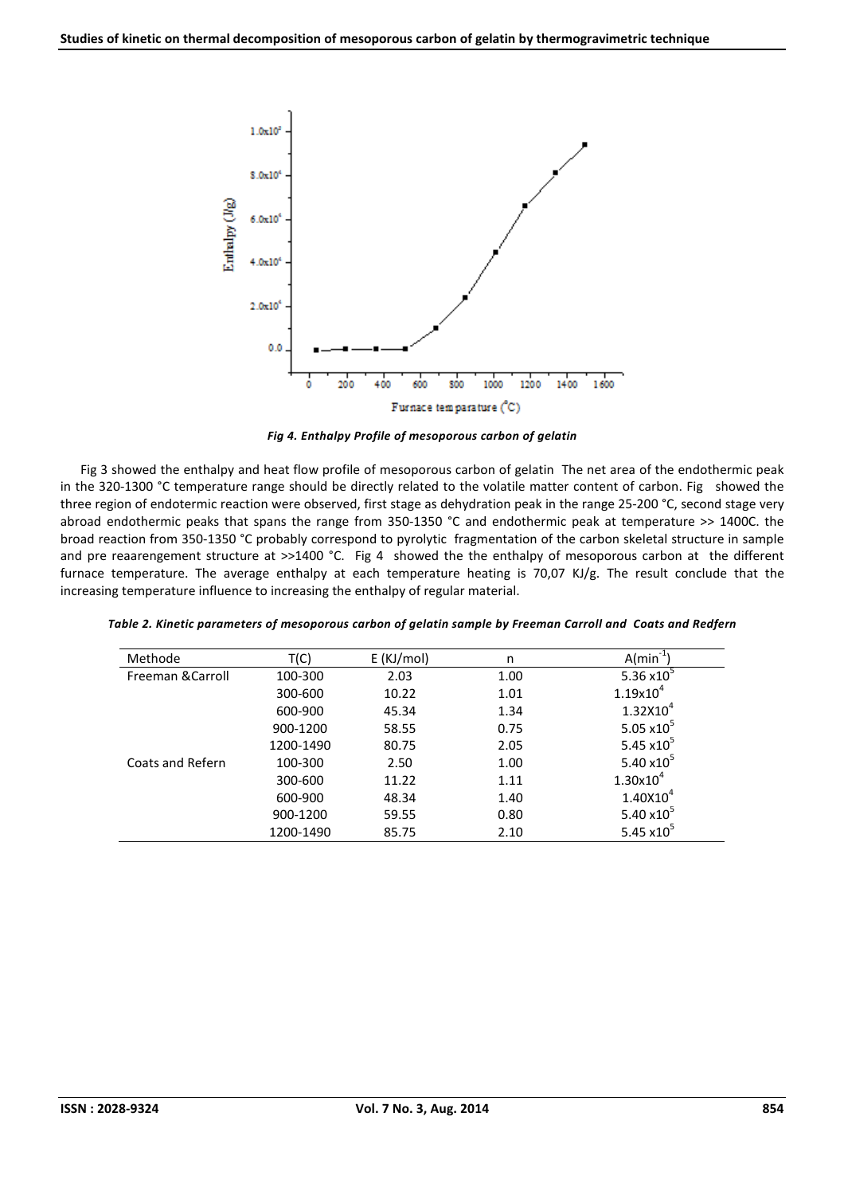

*Fig 4. Enthalpy Profile of mesoporous carbon of gelatin* 

Fig 3 showed the enthalpy and heat flow profile of mesoporous carbon of gelatin The net area of the endothermic peak in the 320-1300 °C temperature range should be directly related to the volatile matter content of carbon. Fig showed the three region of endotermic reaction were observed, first stage as dehydration peak in the range 25-200 °C, second stage very abroad endothermic peaks that spans the range from 350-1350 °C and endothermic peak at temperature >> 1400C. the broad reaction from 350-1350 °C probably correspond to pyrolytic fragmentation of the carbon skeletal structure in sample and pre reaarengement structure at >>1400 °C. Fig 4 showed the the enthalpy of mesoporous carbon at the different furnace temperature. The average enthalpy at each temperature heating is 70,07 KJ/g. The result conclude that the increasing temperature influence to increasing the enthalpy of regular material.

| Methode           | T(C)      | $E$ (KJ/mol) | n    | A/min                         |
|-------------------|-----------|--------------|------|-------------------------------|
| Freeman & Carroll | 100-300   | 2.03         | 1.00 | 5.36 $x10^5$                  |
|                   | 300-600   | 10.22        | 1.01 | $1.19x10^{4}$                 |
|                   | 600-900   | 45.34        | 1.34 | $1.32X10^{4}$                 |
|                   | 900-1200  | 58.55        | 0.75 | 5.05 $\times$ 10 <sup>5</sup> |
|                   | 1200-1490 | 80.75        | 2.05 | 5.45 $x10^5$                  |
| Coats and Refern  | 100-300   | 2.50         | 1.00 | 5.40 $\times$ 10 <sup>5</sup> |
|                   | 300-600   | 11.22        | 1.11 | $1.30x10^{4}$                 |
|                   | 600-900   | 48.34        | 1.40 | $1.40X10^{4}$                 |
|                   | 900-1200  | 59.55        | 0.80 | 5.40 $\times$ 10 <sup>3</sup> |
|                   | 1200-1490 | 85.75        | 2.10 | 5.45 $x10^5$                  |

*Table 2. Kinetic parameters of mesoporous carbon of gelatin sample by Freeman Carroll and Coats and Redfern*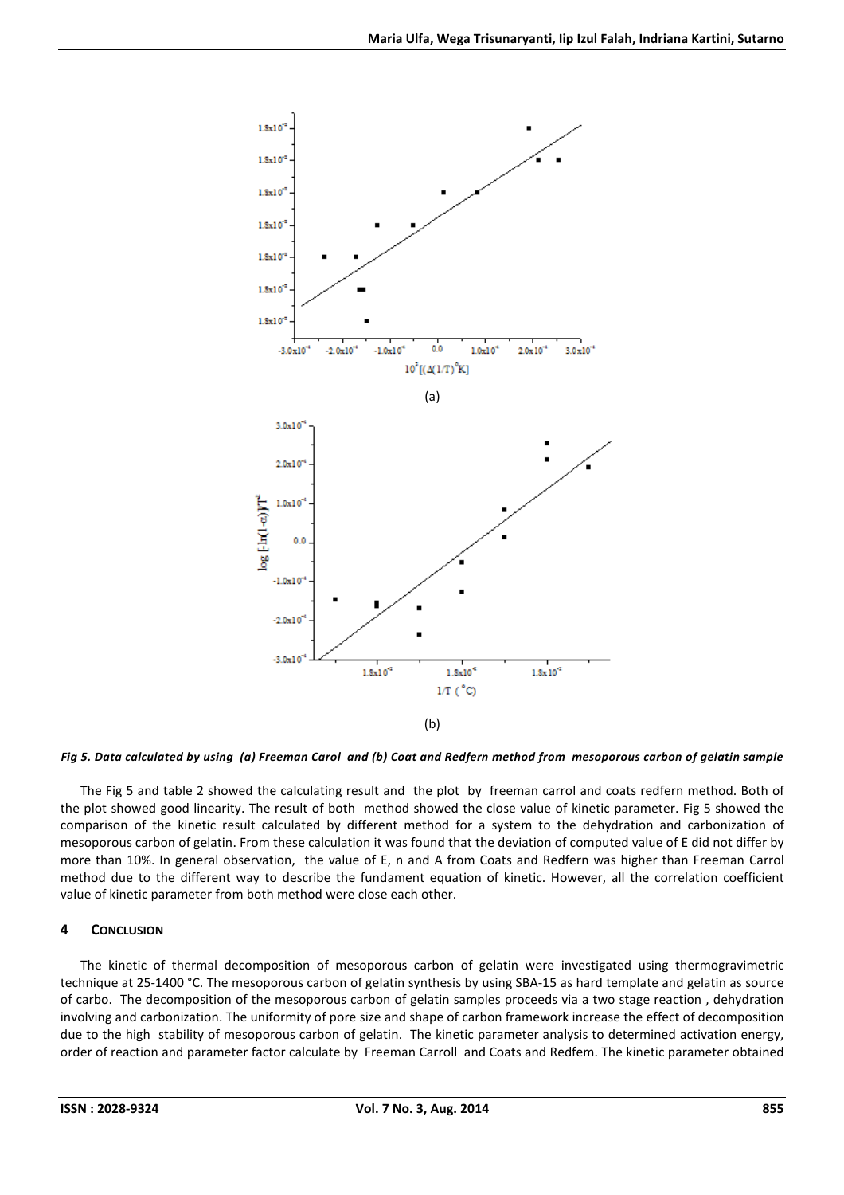

## *Fig 5. Data calculated by using (a) Freeman Carol and (b) Coat and Redfern method from mesoporous carbon of gelatin sample*

The Fig 5 and table 2 showed the calculating result and the plot by freeman carrol and coats redfern method. Both of the plot showed good linearity. The result of both method showed the close value of kinetic parameter. Fig 5 showed the comparison of the kinetic result calculated by different method for a system to the dehydration and carbonization of mesoporous carbon of gelatin. From these calculation it was found that the deviation of computed value of E did not differ by more than 10%. In general observation, the value of E, n and A from Coats and Redfern was higher than Freeman Carrol method due to the different way to describe the fundament equation of kinetic. However, all the correlation coefficient value of kinetic parameter from both method were close each other.

## **4 CONCLUSION**

The kinetic of thermal decomposition of mesoporous carbon of gelatin were investigated using thermogravimetric technique at 25-1400 °C. The mesoporous carbon of gelatin synthesis by using SBA-15 as hard template and gelatin as source of carbo. The decomposition of the mesoporous carbon of gelatin samples proceeds via a two stage reaction , dehydration involving and carbonization. The uniformity of pore size and shape of carbon framework increase the effect of decomposition due to the high stability of mesoporous carbon of gelatin. The kinetic parameter analysis to determined activation energy, order of reaction and parameter factor calculate by Freeman Carroll and Coats and Redfem. The kinetic parameter obtained